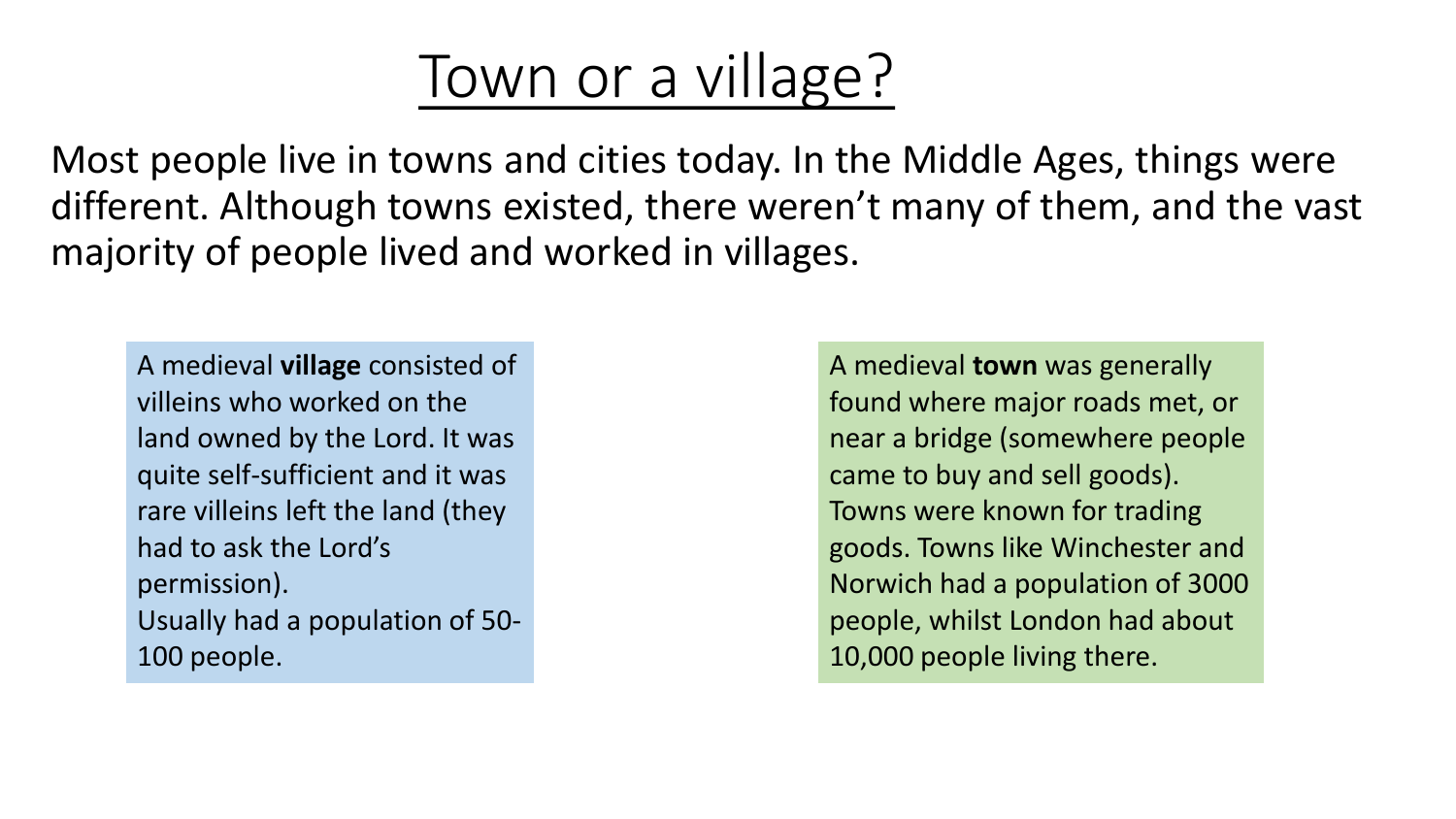## Town or a village?

Most people live in towns and cities today. In the Middle Ages, things were different. Although towns existed, there weren't many of them, and the vast majority of people lived and worked in villages.

A medieval **village** consisted of villeins who worked on the land owned by the Lord. It was quite self-sufficient and it was rare villeins left the land (they had to ask the Lord's permission). Usually had a population of 50- 100 people.

A medieval **town** was generally found where major roads met, or near a bridge (somewhere people came to buy and sell goods). Towns were known for trading goods. Towns like Winchester and Norwich had a population of 3000 people, whilst London had about 10,000 people living there.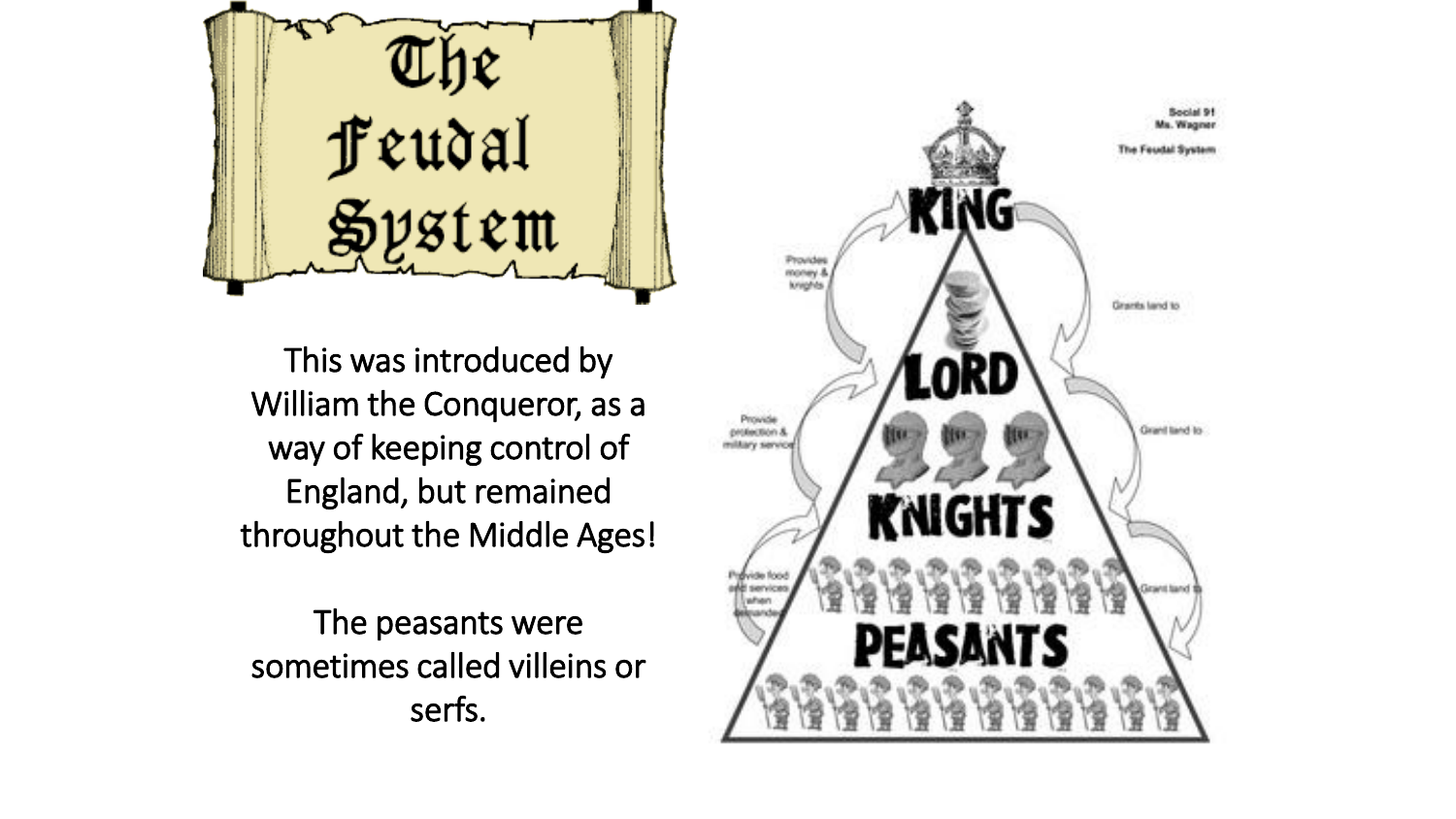Teudal<br>Feudal<br>System

This was introduced by William the Conqueror, as a way of keeping control of England, but remained throughout the Middle Ages!

The peasants were sometimes called villeins or serfs.

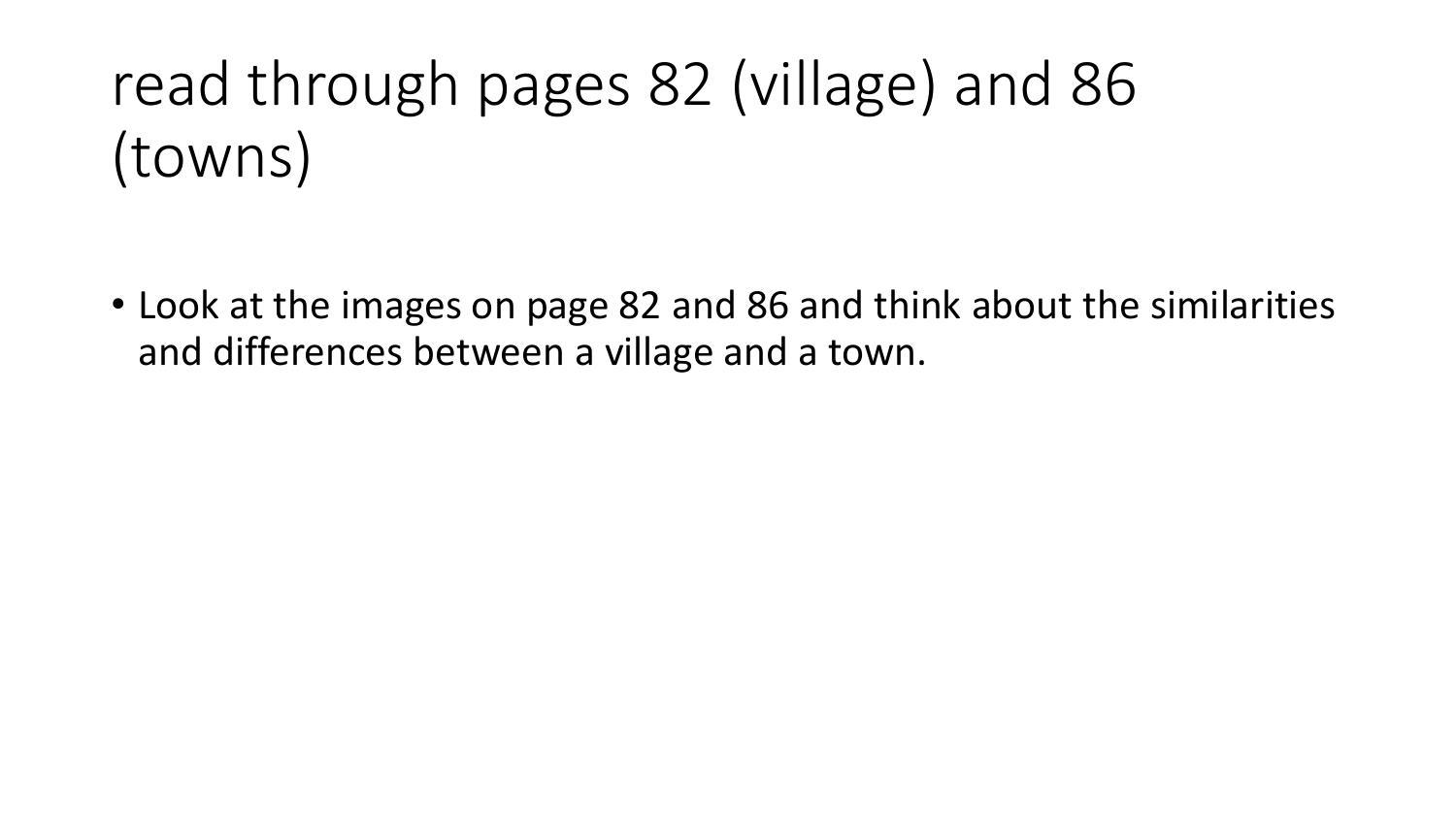## read through pages 82 (village) and 86 (towns)

• Look at the images on page 82 and 86 and think about the similarities and differences between a village and a town.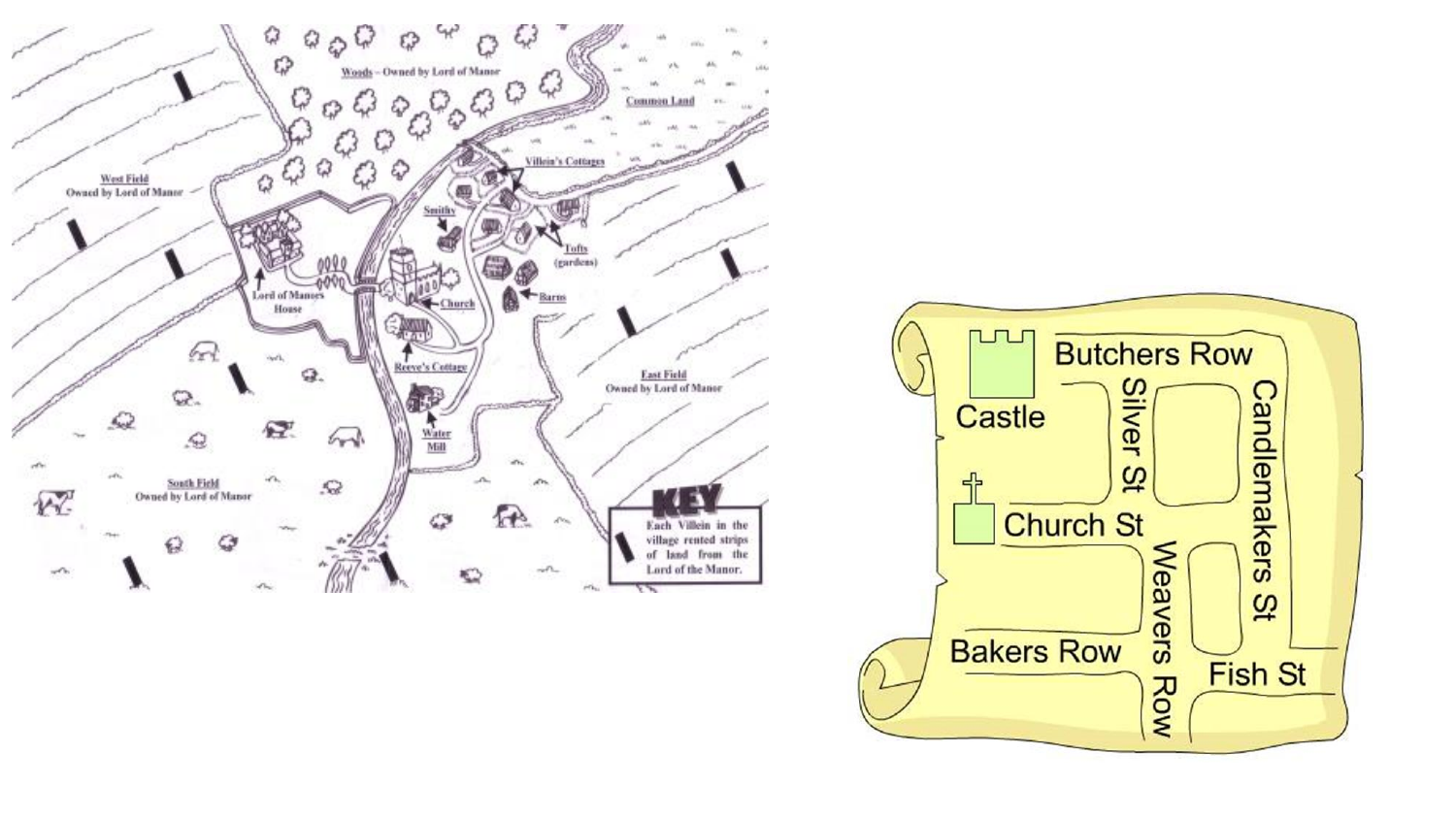

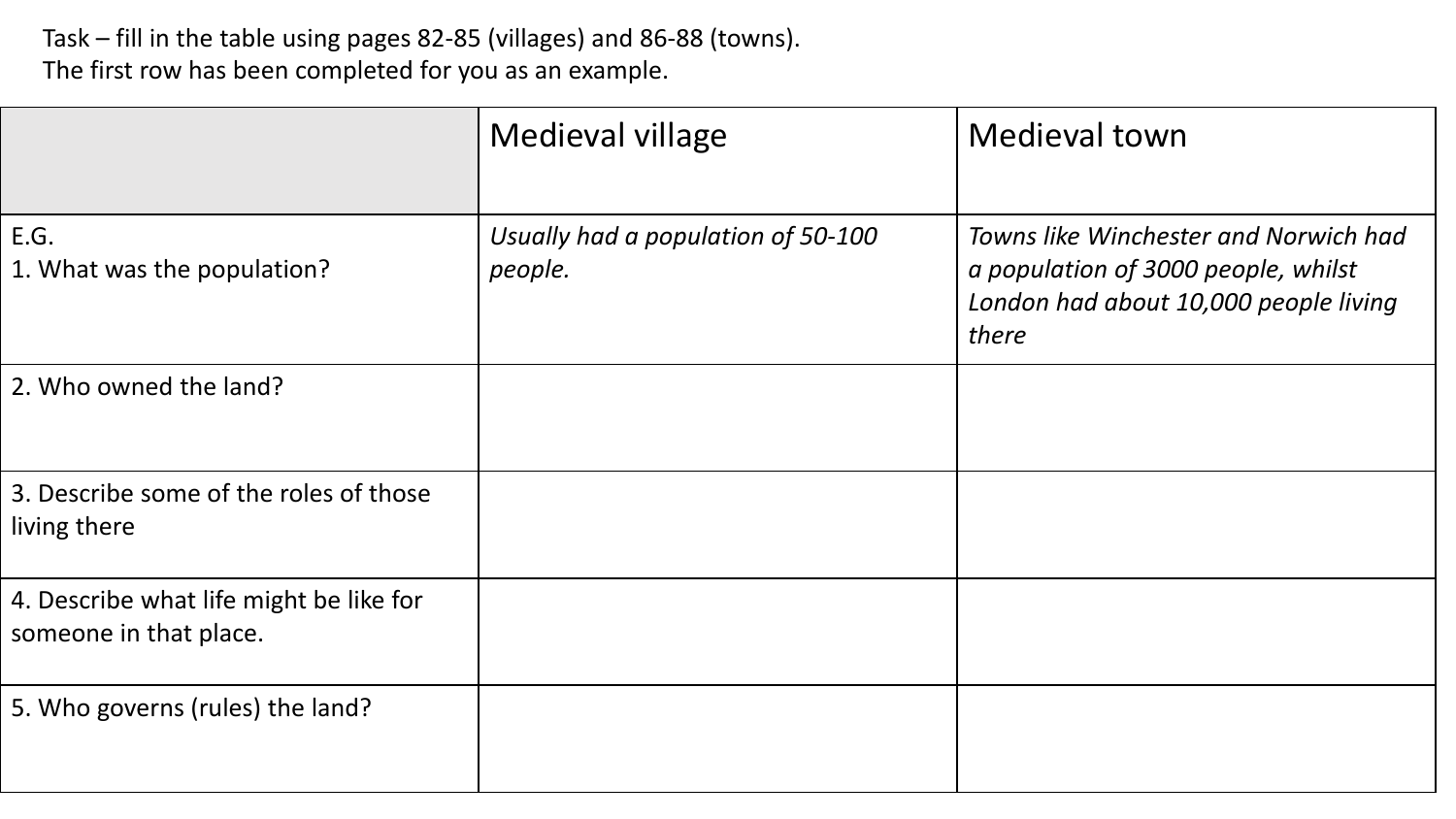Task – fill in the table using pages 82-85 (villages) and 86-88 (towns). The first row has been completed for you as an example.

|                                                                   | Medieval village                              | <b>Medieval town</b>                                                                                                           |
|-------------------------------------------------------------------|-----------------------------------------------|--------------------------------------------------------------------------------------------------------------------------------|
| E.G.<br>1. What was the population?                               | Usually had a population of 50-100<br>people. | Towns like Winchester and Norwich had<br>a population of 3000 people, whilst<br>London had about 10,000 people living<br>there |
| 2. Who owned the land?                                            |                                               |                                                                                                                                |
| 3. Describe some of the roles of those<br>living there            |                                               |                                                                                                                                |
| 4. Describe what life might be like for<br>someone in that place. |                                               |                                                                                                                                |
| 5. Who governs (rules) the land?                                  |                                               |                                                                                                                                |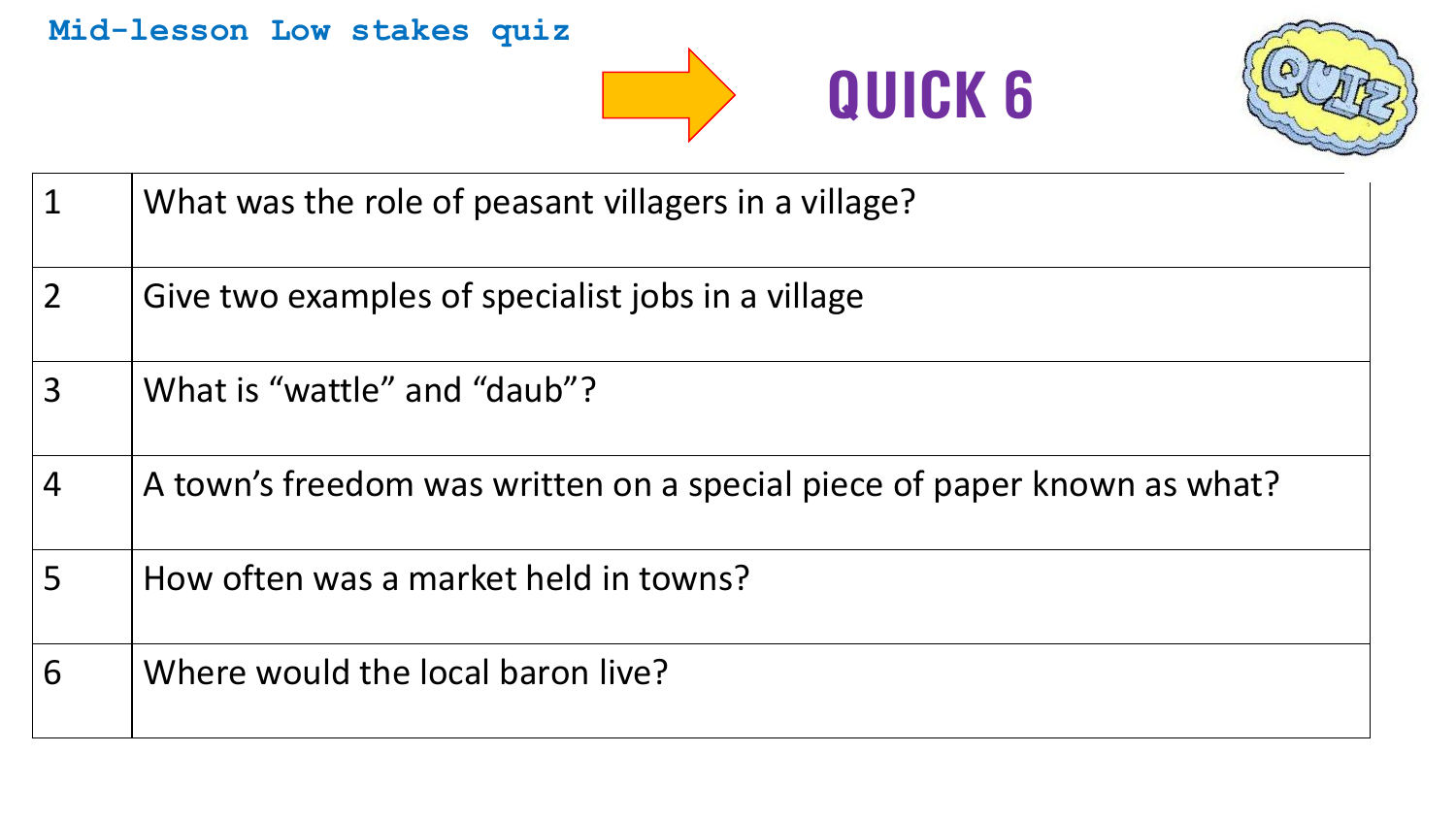## **Mid-lesson Low stakes quiz**





| $\overline{1}$ | What was the role of peasant villagers in a village?                    |
|----------------|-------------------------------------------------------------------------|
| $\overline{2}$ | Give two examples of specialist jobs in a village                       |
| $\overline{3}$ | What is "wattle" and "daub"?                                            |
| $\overline{4}$ | A town's freedom was written on a special piece of paper known as what? |
| 5              | How often was a market held in towns?                                   |
| 6              | Where would the local baron live?                                       |